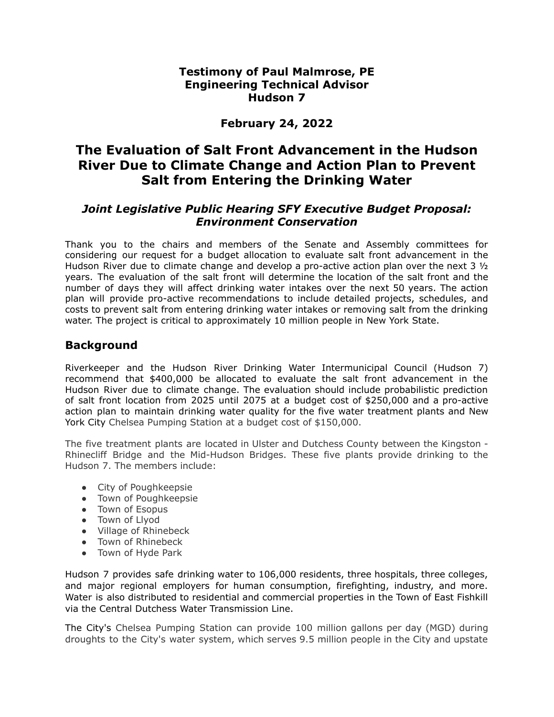#### **Testimony of Paul Malmrose, PE Engineering Technical Advisor Hudson 7**

# **February 24, 2022**

# **The Evaluation of Salt Front Advancement in the Hudson River Due to Climate Change and Action Plan to Prevent Salt from Entering the Drinking Water**

#### *Joint Legislative Public Hearing SFY Executive Budget Proposal: Environment Conservation*

Thank you to the chairs and members of the Senate and Assembly committees for considering our request for a budget allocation to evaluate salt front advancement in the Hudson River due to climate change and develop a pro-active action plan over the next 3  $1/2$ years. The evaluation of the salt front will determine the location of the salt front and the number of days they will affect drinking water intakes over the next 50 years. The action plan will provide pro-active recommendations to include detailed projects, schedules, and costs to prevent salt from entering drinking water intakes or removing salt from the drinking water. The project is critical to approximately 10 million people in New York State.

### **Background**

Riverkeeper and the Hudson River Drinking Water Intermunicipal Council (Hudson 7) recommend that \$400,000 be allocated to evaluate the salt front advancement in the Hudson River due to climate change. The evaluation should include probabilistic prediction of salt front location from 2025 until 2075 at a budget cost of \$250,000 and a pro-active action plan to maintain drinking water quality for the five water treatment plants and New York City Chelsea Pumping Station at a budget cost of \$150,000.

The five treatment plants are located in Ulster and Dutchess County between the Kingston - Rhinecliff Bridge and the Mid-Hudson Bridges. These five plants provide drinking to the Hudson 7. The members include:

- City of Poughkeepsie
- Town of Poughkeepsie
- Town of Esopus
- Town of Llyod
- Village of Rhinebeck
- Town of Rhinebeck
- Town of Hyde Park

Hudson 7 provides safe drinking water to 106,000 residents, three hospitals, three colleges, and major regional employers for human consumption, firefighting, industry, and more. Water is also distributed to residential and commercial properties in the Town of East Fishkill via the Central Dutchess Water Transmission Line.

The City's Chelsea Pumping Station can provide 100 million gallons per day (MGD) during droughts to the City's water system, which serves 9.5 million people in the City and upstate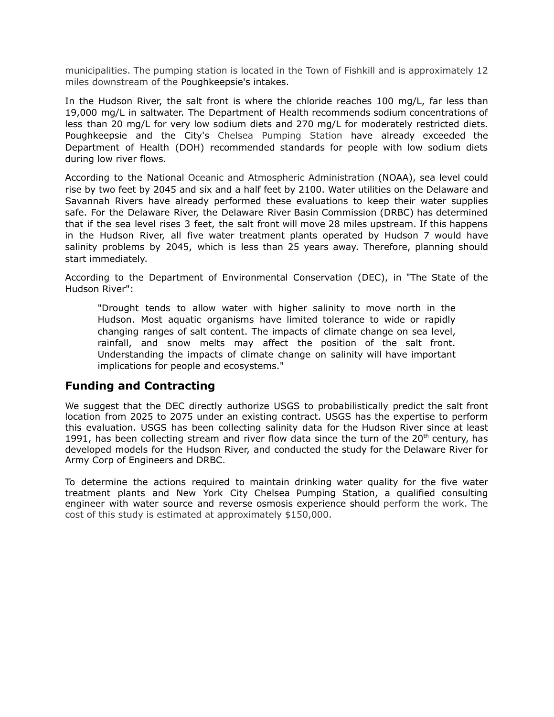municipalities. The pumping station is located in the Town of Fishkill and is approximately 12 miles downstream of the Poughkeepsie's intakes.

In the Hudson River, the salt front is where the chloride reaches 100 mg/L, far less than 19,000 mg/L in saltwater. The Department of Health recommends sodium concentrations of less than 20 mg/L for very low sodium diets and 270 mg/L for moderately restricted diets. Poughkeepsie and the City's Chelsea Pumping Station have already exceeded the Department of Health (DOH) recommended standards for people with low sodium diets during low river flows.

According to the National Oceanic and Atmospheric Administration (NOAA), sea level could rise by two feet by 2045 and six and a half feet by 2100. Water utilities on the Delaware and Savannah Rivers have already performed these evaluations to keep their water supplies safe. For the Delaware River, the Delaware River Basin Commission (DRBC) has determined that if the sea level rises 3 feet, the salt front will move 28 miles upstream. If this happens in the Hudson River, all five water treatment plants operated by Hudson 7 would have salinity problems by 2045, which is less than 25 years away. Therefore, planning should start immediately.

According to the Department of Environmental Conservation (DEC), in "The State of the Hudson River":

"Drought tends to allow water with higher salinity to move north in the Hudson. Most aquatic organisms have limited tolerance to wide or rapidly changing ranges of salt content. The impacts of climate change on sea level, rainfall, and snow melts may affect the position of the salt front. Understanding the impacts of climate change on salinity will have important implications for people and ecosystems."

#### **Funding and Contracting**

We suggest that the DEC directly authorize USGS to probabilistically predict the salt front location from 2025 to 2075 under an existing contract. USGS has the expertise to perform this evaluation. USGS has been collecting salinity data for the Hudson River since at least 1991, has been collecting stream and river flow data since the turn of the 20<sup>th</sup> century, has developed models for the Hudson River, and conducted the study for the Delaware River for Army Corp of Engineers and DRBC.

To determine the actions required to maintain drinking water quality for the five water treatment plants and New York City Chelsea Pumping Station, a qualified consulting engineer with water source and reverse osmosis experience should perform the work. The cost of this study is estimated at approximately \$150,000.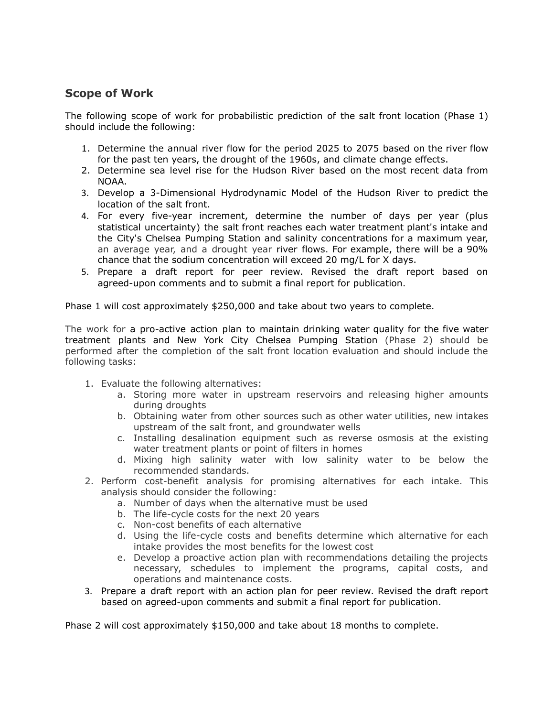# **Scope of Work**

The following scope of work for probabilistic prediction of the salt front location (Phase 1) should include the following:

- 1. Determine the annual river flow for the period 2025 to 2075 based on the river flow for the past ten years, the drought of the 1960s, and climate change effects.
- 2. Determine sea level rise for the Hudson River based on the most recent data from NOAA.
- 3. Develop a 3-Dimensional Hydrodynamic Model of the Hudson River to predict the location of the salt front.
- 4. For every five-year increment, determine the number of days per year (plus statistical uncertainty) the salt front reaches each water treatment plant's intake and the City's Chelsea Pumping Station and salinity concentrations for a maximum year, an average year, and a drought year river flows. For example, there will be a 90% chance that the sodium concentration will exceed 20 mg/L for X days.
- 5. Prepare a draft report for peer review. Revised the draft report based on agreed-upon comments and to submit a final report for publication.

Phase 1 will cost approximately \$250,000 and take about two years to complete.

The work for a pro-active action plan to maintain drinking water quality for the five water treatment plants and New York City Chelsea Pumping Station (Phase 2) should be performed after the completion of the salt front location evaluation and should include the following tasks:

- 1. Evaluate the following alternatives:
	- a. Storing more water in upstream reservoirs and releasing higher amounts during droughts
	- b. Obtaining water from other sources such as other water utilities, new intakes upstream of the salt front, and groundwater wells
	- c. Installing desalination equipment such as reverse osmosis at the existing water treatment plants or point of filters in homes
	- d. Mixing high salinity water with low salinity water to be below the recommended standards.
- 2. Perform cost-benefit analysis for promising alternatives for each intake. This analysis should consider the following:
	- a. Number of days when the alternative must be used
	- b. The life-cycle costs for the next 20 years
	- c. Non-cost benefits of each alternative
	- d. Using the life-cycle costs and benefits determine which alternative for each intake provides the most benefits for the lowest cost
	- e. Develop a proactive action plan with recommendations detailing the projects necessary, schedules to implement the programs, capital costs, and operations and maintenance costs.
- 3. Prepare a draft report with an action plan for peer review. Revised the draft report based on agreed-upon comments and submit a final report for publication.

Phase 2 will cost approximately \$150,000 and take about 18 months to complete.